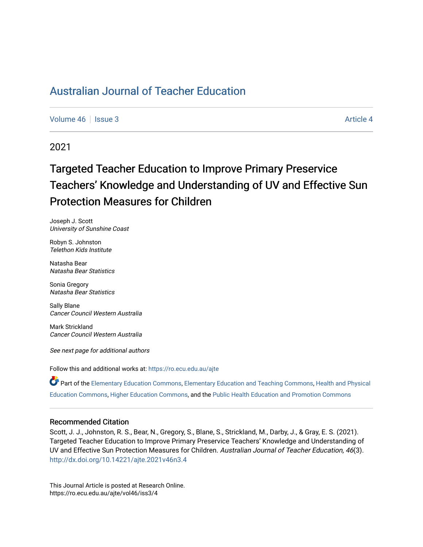[Volume 46](https://ro.ecu.edu.au/ajte/vol46) | [Issue 3](https://ro.ecu.edu.au/ajte/vol46/iss3) Article 4

2021

# Targeted Teacher Education to Improve Primary Preservice Teachers' Knowledge and Understanding of UV and Effective Sun Protection Measures for Children

Joseph J. Scott University of Sunshine Coast

Robyn S. Johnston Telethon Kids Institute

Natasha Bear Natasha Bear Statistics

Sonia Gregory Natasha Bear Statistics

Sally Blane Cancer Council Western Australia

Mark Strickland Cancer Council Western Australia

See next page for additional authors

Follow this and additional works at: [https://ro.ecu.edu.au/ajte](https://ro.ecu.edu.au/ajte?utm_source=ro.ecu.edu.au%2Fajte%2Fvol46%2Fiss3%2F4&utm_medium=PDF&utm_campaign=PDFCoverPages) 

Part of the [Elementary Education Commons,](http://network.bepress.com/hgg/discipline/1378?utm_source=ro.ecu.edu.au%2Fajte%2Fvol46%2Fiss3%2F4&utm_medium=PDF&utm_campaign=PDFCoverPages) [Elementary Education and Teaching Commons](http://network.bepress.com/hgg/discipline/805?utm_source=ro.ecu.edu.au%2Fajte%2Fvol46%2Fiss3%2F4&utm_medium=PDF&utm_campaign=PDFCoverPages), [Health and Physical](http://network.bepress.com/hgg/discipline/1327?utm_source=ro.ecu.edu.au%2Fajte%2Fvol46%2Fiss3%2F4&utm_medium=PDF&utm_campaign=PDFCoverPages)  [Education Commons,](http://network.bepress.com/hgg/discipline/1327?utm_source=ro.ecu.edu.au%2Fajte%2Fvol46%2Fiss3%2F4&utm_medium=PDF&utm_campaign=PDFCoverPages) [Higher Education Commons,](http://network.bepress.com/hgg/discipline/1245?utm_source=ro.ecu.edu.au%2Fajte%2Fvol46%2Fiss3%2F4&utm_medium=PDF&utm_campaign=PDFCoverPages) and the [Public Health Education and Promotion Commons](http://network.bepress.com/hgg/discipline/743?utm_source=ro.ecu.edu.au%2Fajte%2Fvol46%2Fiss3%2F4&utm_medium=PDF&utm_campaign=PDFCoverPages)

#### Recommended Citation

Scott, J. J., Johnston, R. S., Bear, N., Gregory, S., Blane, S., Strickland, M., Darby, J., & Gray, E. S. (2021). Targeted Teacher Education to Improve Primary Preservice Teachers' Knowledge and Understanding of UV and Effective Sun Protection Measures for Children. Australian Journal of Teacher Education, 46(3). <http://dx.doi.org/10.14221/ajte.2021v46n3.4>

This Journal Article is posted at Research Online. https://ro.ecu.edu.au/ajte/vol46/iss3/4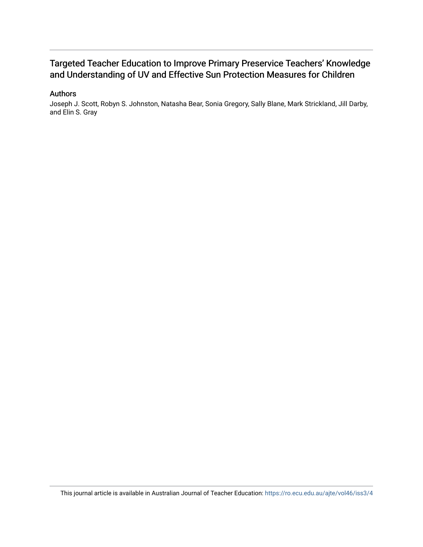# Targeted Teacher Education to Improve Primary Preservice Teachers' Knowledge and Understanding of UV and Effective Sun Protection Measures for Children

### Authors

Joseph J. Scott, Robyn S. Johnston, Natasha Bear, Sonia Gregory, Sally Blane, Mark Strickland, Jill Darby, and Elin S. Gray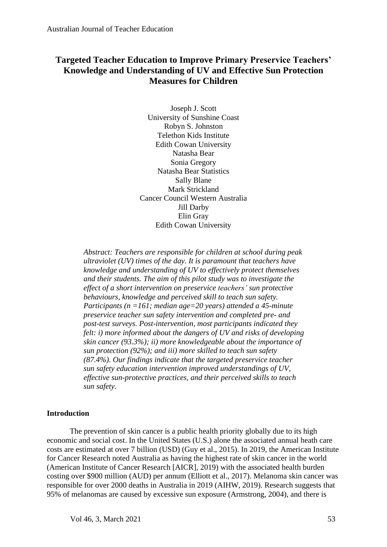# **Targeted Teacher Education to Improve Primary Preservice Teachers' Knowledge and Understanding of UV and Effective Sun Protection Measures for Children**

Joseph J. Scott University of Sunshine Coast Robyn S. Johnston Telethon Kids Institute Edith Cowan University Natasha Bear Sonia Gregory Natasha Bear Statistics Sally Blane Mark Strickland Cancer Council Western Australia Jill Darby Elin Gray Edith Cowan University

*Abstract: Teachers are responsible for children at school during peak ultraviolet (UV) times of the day. It is paramount that teachers have knowledge and understanding of UV to effectively protect themselves and their students. The aim of this pilot study was to investigate the effect of a short intervention on preservice teachers' sun protective behaviours, knowledge and perceived skill to teach sun safety. Participants (n =161; median age=20 years) attended a 45-minute preservice teacher sun safety intervention and completed pre- and post-test surveys. Post-intervention, most participants indicated they felt: i) more informed about the dangers of UV and risks of developing skin cancer (93.3%); ii) more knowledgeable about the importance of sun protection (92%); and iii) more skilled to teach sun safety (87.4%). Our findings indicate that the targeted preservice teacher sun safety education intervention improved understandings of UV, effective sun-protective practices, and their perceived skills to teach sun safety.*

# **Introduction**

The prevention of skin cancer is a public health priority globally due to its high economic and social cost. In the United States (U.S.) alone the associated annual heath care costs are estimated at over 7 billion (USD) (Guy et al., 2015). In 2019, the American Institute for Cancer Research noted Australia as having the highest rate of skin cancer in the world (American Institute of Cancer Research [AICR], 2019) with the associated health burden costing over \$900 million (AUD) per annum (Elliott et al., 2017). Melanoma skin cancer was responsible for over 2000 deaths in Australia in 2019 (AIHW, 2019). Research suggests that 95% of melanomas are caused by excessive sun exposure (Armstrong, 2004), and there is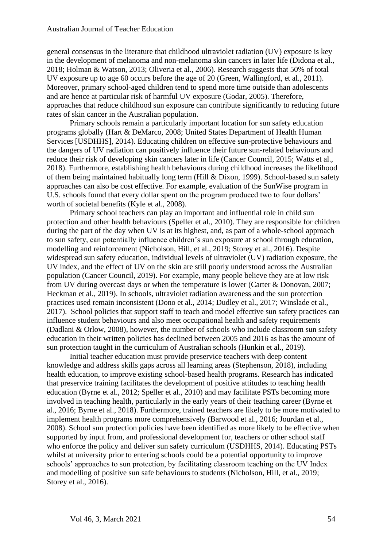general consensus in the literature that childhood ultraviolet radiation (UV) exposure is key in the development of melanoma and non-melanoma skin cancers in later life (Didona et al., 2018; Holman & Watson, 2013; Oliveria et al., 2006). Research suggests that 50% of total UV exposure up to age 60 occurs before the age of 20 (Green, Wallingford, et al., 2011). Moreover, primary school-aged children tend to spend more time outside than adolescents and are hence at particular risk of harmful UV exposure (Godar, 2005). Therefore, approaches that reduce childhood sun exposure can contribute significantly to reducing future rates of skin cancer in the Australian population.

Primary schools remain a particularly important location for sun safety education programs globally (Hart & DeMarco, 2008; United States Department of Health Human Services [USDHHS], 2014). Educating children on effective sun-protective behaviours and the dangers of UV radiation can positively influence their future sun-related behaviours and reduce their risk of developing skin cancers later in life (Cancer Council, 2015; Watts et al., 2018). Furthermore, establishing health behaviours during childhood increases the likelihood of them being maintained habitually long term (Hill & Dixon, 1999). School-based sun safety approaches can also be cost effective. For example, evaluation of the SunWise program in U.S. schools found that every dollar spent on the program produced two to four dollars' worth of societal benefits (Kyle et al., 2008).

Primary school teachers can play an important and influential role in child sun protection and other health behaviours (Speller et al., 2010). They are responsible for children during the part of the day when UV is at its highest, and, as part of a whole-school approach to sun safety, can potentially influence children's sun exposure at school through education, modelling and reinforcement (Nicholson, Hill, et al., 2019; Storey et al., 2016). Despite widespread sun safety education, individual levels of ultraviolet (UV) radiation exposure, the UV index, and the effect of UV on the skin are still poorly understood across the Australian population (Cancer Council, 2019). For example, many people believe they are at low risk from UV during overcast days or when the temperature is lower (Carter & Donovan, 2007; Heckman et al., 2019). In schools, ultraviolet radiation awareness and the sun protection practices used remain inconsistent (Dono et al., 2014; Dudley et al., 2017; Winslade et al., 2017). School policies that support staff to teach and model effective sun safety practices can influence student behaviours and also meet occupational health and safety requirements (Dadlani & Orlow, 2008), however, the number of schools who include classroom sun safety education in their written policies has declined between 2005 and 2016 as has the amount of sun protection taught in the curriculum of Australian schools (Hunkin et al., 2019).

Initial teacher education must provide preservice teachers with deep content knowledge and address skills gaps across all learning areas (Stephenson, 2018), including health education, to improve existing school-based health programs. Research has indicated that preservice training facilitates the development of positive attitudes to teaching health education (Byrne et al., 2012; Speller et al., 2010) and may facilitate PSTs becoming more involved in teaching health, particularly in the early years of their teaching career (Byrne et al., 2016; Byrne et al., 2018). Furthermore, trained teachers are likely to be more motivated to implement health programs more comprehensively (Barwood et al., 2016; Jourdan et al., 2008). School sun protection policies have been identified as more likely to be effective when supported by input from, and professional development for, teachers or other school staff who enforce the policy and deliver sun safety curriculum (USDHHS, 2014). Educating PSTs whilst at university prior to entering schools could be a potential opportunity to improve schools' approaches to sun protection, by facilitating classroom teaching on the UV Index and modelling of positive sun safe behaviours to students (Nicholson, Hill, et al., 2019; Storey et al., 2016).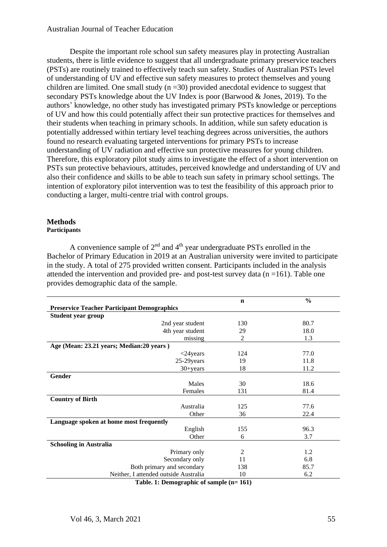Despite the important role school sun safety measures play in protecting Australian students, there is little evidence to suggest that all undergraduate primary preservice teachers (PSTs) are routinely trained to effectively teach sun safety. Studies of Australian PSTs level of understanding of UV and effective sun safety measures to protect themselves and young children are limited. One small study  $(n = 30)$  provided anecdotal evidence to suggest that secondary PSTs knowledge about the UV Index is poor (Barwood & Jones, 2019). To the authors' knowledge, no other study has investigated primary PSTs knowledge or perceptions of UV and how this could potentially affect their sun protective practices for themselves and their students when teaching in primary schools. In addition, while sun safety education is potentially addressed within tertiary level teaching degrees across universities, the authors found no research evaluating targeted interventions for primary PSTs to increase understanding of UV radiation and effective sun protective measures for young children. Therefore, this exploratory pilot study aims to investigate the effect of a short intervention on PSTs sun protective behaviours, attitudes, perceived knowledge and understanding of UV and also their confidence and skills to be able to teach sun safety in primary school settings. The intention of exploratory pilot intervention was to test the feasibility of this approach prior to conducting a larger, multi-centre trial with control groups.

# **Methods**

# **Participants**

A convenience sample of  $2<sup>nd</sup>$  and  $4<sup>th</sup>$  year undergraduate PSTs enrolled in the Bachelor of Primary Education in 2019 at an Australian university were invited to participate in the study. A total of 275 provided written consent. Participants included in the analysis attended the intervention and provided pre- and post-test survey data  $(n = 161)$ . Table one provides demographic data of the sample.

|                                                    | $\mathbf n$    | $\frac{0}{0}$ |  |  |  |  |  |  |  |
|----------------------------------------------------|----------------|---------------|--|--|--|--|--|--|--|
| <b>Preservice Teacher Participant Demographics</b> |                |               |  |  |  |  |  |  |  |
| Student year group                                 |                |               |  |  |  |  |  |  |  |
| 2nd year student                                   | 130            | 80.7          |  |  |  |  |  |  |  |
| 4th year student                                   | 29             | 18.0          |  |  |  |  |  |  |  |
| missing                                            | 2              | 1.3           |  |  |  |  |  |  |  |
| Age (Mean: 23.21 years; Median: 20 years)          |                |               |  |  |  |  |  |  |  |
| $<$ 24 years                                       | 124            | 77.0          |  |  |  |  |  |  |  |
| 25-29 years                                        | 19             | 11.8          |  |  |  |  |  |  |  |
| $30 + years$                                       | 18             | 11.2          |  |  |  |  |  |  |  |
| Gender                                             |                |               |  |  |  |  |  |  |  |
| Males                                              | 30             | 18.6          |  |  |  |  |  |  |  |
| Females                                            | 131            | 81.4          |  |  |  |  |  |  |  |
| <b>Country of Birth</b>                            |                |               |  |  |  |  |  |  |  |
| Australia                                          | 125            | 77.6          |  |  |  |  |  |  |  |
| Other                                              | 36             | 22.4          |  |  |  |  |  |  |  |
| Language spoken at home most frequently            |                |               |  |  |  |  |  |  |  |
| English                                            | 155            | 96.3          |  |  |  |  |  |  |  |
| Other                                              | 6              | 3.7           |  |  |  |  |  |  |  |
| <b>Schooling in Australia</b>                      |                |               |  |  |  |  |  |  |  |
| Primary only                                       | $\overline{c}$ | 1.2           |  |  |  |  |  |  |  |
| Secondary only                                     | 11             | 6.8           |  |  |  |  |  |  |  |
| Both primary and secondary                         | 138            | 85.7          |  |  |  |  |  |  |  |
| Neither, I attended outside Australia              | 10             | 6.2           |  |  |  |  |  |  |  |
| Toble 1: Demographic of comple $(n-1\ell)$         |                |               |  |  |  |  |  |  |  |

**Table. 1: Demographic of sample (n= 161)**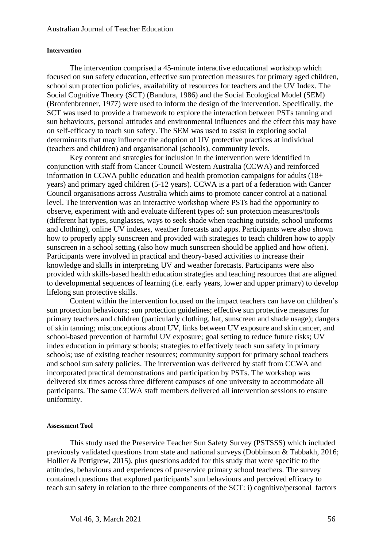#### **Intervention**

The intervention comprised a 45-minute interactive educational workshop which focused on sun safety education, effective sun protection measures for primary aged children, school sun protection policies, availability of resources for teachers and the UV Index. The Social Cognitive Theory (SCT) (Bandura, 1986) and the Social Ecological Model (SEM) (Bronfenbrenner, 1977) were used to inform the design of the intervention. Specifically, the SCT was used to provide a framework to explore the interaction between PSTs tanning and sun behaviours, personal attitudes and environmental influences and the effect this may have on self-efficacy to teach sun safety. The SEM was used to assist in exploring social determinants that may influence the adoption of UV protective practices at individual (teachers and children) and organisational (schools), community levels.

Key content and strategies for inclusion in the intervention were identified in conjunction with staff from Cancer Council Western Australia (CCWA) and reinforced information in CCWA public education and health promotion campaigns for adults (18+ years) and primary aged children (5-12 years). CCWA is a part of a federation with Cancer Council organisations across Australia which aims to promote cancer control at a national level. The intervention was an interactive workshop where PSTs had the opportunity to observe, experiment with and evaluate different types of: sun protection measures/tools (different hat types, sunglasses, ways to seek shade when teaching outside, school uniforms and clothing), online UV indexes, weather forecasts and apps. Participants were also shown how to properly apply sunscreen and provided with strategies to teach children how to apply sunscreen in a school setting (also how much sunscreen should be applied and how often). Participants were involved in practical and theory-based activities to increase their knowledge and skills in interpreting UV and weather forecasts. Participants were also provided with skills-based health education strategies and teaching resources that are aligned to developmental sequences of learning (i.e. early years, lower and upper primary) to develop lifelong sun protective skills.

Content within the intervention focused on the impact teachers can have on children's sun protection behaviours; sun protection guidelines; effective sun protective measures for primary teachers and children (particularly clothing, hat, sunscreen and shade usage); dangers of skin tanning; misconceptions about UV, links between UV exposure and skin cancer, and school-based prevention of harmful UV exposure; goal setting to reduce future risks; UV index education in primary schools; strategies to effectively teach sun safety in primary schools; use of existing teacher resources; community support for primary school teachers and school sun safety policies. The intervention was delivered by staff from CCWA and incorporated practical demonstrations and participation by PSTs. The workshop was delivered six times across three different campuses of one university to accommodate all participants. The same CCWA staff members delivered all intervention sessions to ensure uniformity.

#### **Assessment Tool**

This study used the Preservice Teacher Sun Safety Survey (PSTSSS) which included previously validated questions from state and national surveys (Dobbinson & Tabbakh, 2016; Hollier & Pettigrew, 2015), plus questions added for this study that were specific to the attitudes, behaviours and experiences of preservice primary school teachers. The survey contained questions that explored participants' sun behaviours and perceived efficacy to teach sun safety in relation to the three components of the SCT: i) cognitive/personal factors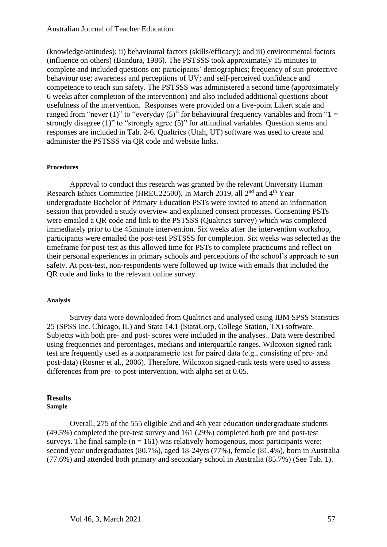(knowledge/attitudes); ii) behavioural factors (skills/efficacy); and iii) environmental factors (influence on others) (Bandura, 1986). The PSTSSS took approximately 15 minutes to complete and included questions on: participants' demographics; frequency of sun-protective behaviour use; awareness and perceptions of UV; and self-perceived confidence and competence to teach sun safety. The PSTSSS was administered a second time (approximately 6 weeks after completion of the intervention) and also included additional questions about usefulness of the intervention. Responses were provided on a five-point Likert scale and ranged from "never (1)" to "everyday (5)" for behavioural frequency variables and from " $1 =$ strongly disagree (1)" to "strongly agree (5)" for attitudinal variables. Question stems and responses are included in Tab. 2-6. Qualtrics (Utah, UT) software was used to create and administer the PSTSSS via QR code and website links.

#### **Procedures**

Approval to conduct this research was granted by the relevant University Human Research Ethics Committee (HREC22500). In March 2019, all 2<sup>nd</sup> and 4<sup>th</sup> Year undergraduate Bachelor of Primary Education PSTs were invited to attend an information session that provided a study overview and explained consent processes. Consenting PSTs were emailed a QR code and link to the PSTSSS (Qualtrics survey) which was completed immediately prior to the 45minute intervention. Six weeks after the intervention workshop, participants were emailed the post-test PSTSSS for completion. Six weeks was selected as the timeframe for post-test as this allowed time for PSTs to complete practicums and reflect on their personal experiences in primary schools and perceptions of the school's approach to sun safety. At post-test, non-respondents were followed up twice with emails that included the QR code and links to the relevant online survey.

#### **Analysis**

Survey data were downloaded from Qualtrics and analysed using IBM SPSS Statistics 25 (SPSS Inc. Chicago, IL) and Stata 14.1 (StataCorp, College Station, TX) software. Subjects with both pre- and post- scores were included in the analyses.. Data were described using frequencies and percentages, medians and interquartile ranges. Wilcoxon signed rank test are frequently used as a nonparametric test for paired data (e.g., consisting of pre‐ and post-data) (Rosner et al., 2006). Therefore, Wilcoxon signed-rank tests were used to assess differences from pre- to post-intervention, with alpha set at 0.05.

# **Results**

#### **Sample**

Overall, 275 of the 555 eligible 2nd and 4th year education undergraduate students (49.5%) completed the pre-test survey and 161 (29%) completed both pre and post-test surveys. The final sample  $(n = 161)$  was relatively homogenous, most participants were: second year undergraduates (80.7%), aged 18-24yrs (77%), female (81.4%), born in Australia (77.6%) and attended both primary and secondary school in Australia (85.7%) (See Tab. 1).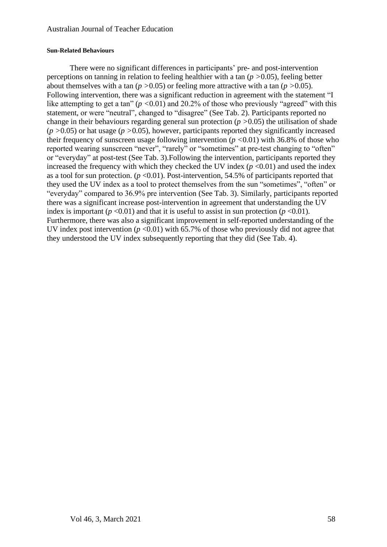#### **Sun-Related Behaviours**

There were no significant differences in participants' pre- and post-intervention perceptions on tanning in relation to feeling healthier with a tan (*p >*0.05), feeling better about themselves with a tan (*p >*0.05) or feeling more attractive with a tan (*p >*0.05). Following intervention, there was a significant reduction in agreement with the statement "I like attempting to get a tan" (*p <*0.01) and 20.2% of those who previously "agreed" with this statement, or were "neutral", changed to "disagree" (See Tab. 2). Participants reported no change in their behaviours regarding general sun protection (*p >*0.05) the utilisation of shade (*p >*0.05) or hat usage (*p >*0.05), however, participants reported they significantly increased their frequency of sunscreen usage following intervention (*p <*0.01) with 36.8% of those who reported wearing sunscreen "never", "rarely" or "sometimes" at pre-test changing to "often" or "everyday" at post-test (See Tab. 3).Following the intervention, participants reported they increased the frequency with which they checked the UV index  $(p < 0.01)$  and used the index as a tool for sun protection.  $(p \le 0.01)$ . Post-intervention, 54.5% of participants reported that they used the UV index as a tool to protect themselves from the sun "sometimes", "often" or "everyday" compared to 36.9% pre intervention (See Tab. 3). Similarly, participants reported there was a significant increase post-intervention in agreement that understanding the UV index is important ( $p < 0.01$ ) and that it is useful to assist in sun protection ( $p < 0.01$ ). Furthermore, there was also a significant improvement in self-reported understanding of the UV index post intervention ( $p < 0.01$ ) with 65.7% of those who previously did not agree that they understood the UV index subsequently reporting that they did (See Tab. 4).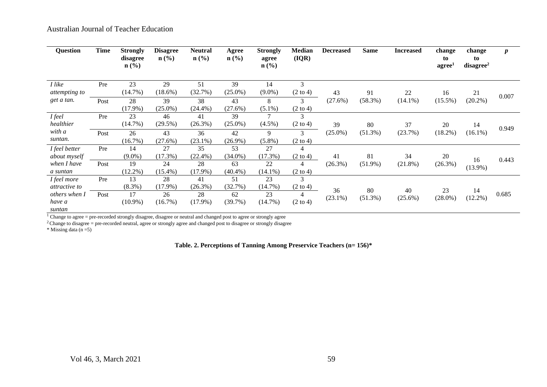| Question                            | Time | <b>Strongly</b><br>disagree<br>$\mathbf{n}(\%)$ | <b>Disagree</b><br>$\mathbf{n}(\%)$ | Neutral<br>$\mathbf{n}(\%)$ | Agree<br>$n\left(\frac{0}{0}\right)$ | <b>Strongly</b><br>agree<br>$n\left(\frac{9}{6}\right)$ | <b>Median</b><br>(IQR)   | <b>Decreased</b> | <b>Same</b> | <b>Increased</b> | change<br>to<br>agree <sup>1</sup> | change<br>to<br>disagree <sup>2</sup> | $\boldsymbol{p}$ |
|-------------------------------------|------|-------------------------------------------------|-------------------------------------|-----------------------------|--------------------------------------|---------------------------------------------------------|--------------------------|------------------|-------------|------------------|------------------------------------|---------------------------------------|------------------|
| I like<br>attempting to             | Pre  | 23<br>(14.7%)                                   | 29<br>$(18.6\%)$                    | 51<br>(32.7%)               | 39<br>$(25.0\%)$                     | 14<br>$(9.0\%)$                                         | 3<br>$(2 \text{ to } 4)$ | 43               | 91          | 22               | 16                                 | 21                                    |                  |
| get a tan.                          | Post | 28<br>$(17.9\%)$                                | 39<br>$(25.0\%)$                    | 38<br>$(24.4\%)$            | 43<br>(27.6%)                        | 8<br>$(5.1\%)$                                          | 3<br>$(2 \text{ to } 4)$ | (27.6%)          | (58.3%)     | $(14.1\%)$       | $(15.5\%)$                         | $(20.2\%)$                            | 0.007            |
| <i>I</i> feel<br>healthier          | Pre  | 23<br>$(14.7\%)$                                | 46<br>$(29.5\%)$                    | 41<br>(26.3%)               | 39<br>$(25.0\%)$                     | 7<br>$(4.5\%)$                                          | 3<br>$(2 \text{ to } 4)$ | 39               | 80          | 37               | 20                                 | 14                                    | 0.949            |
| with a<br>suntan.                   | Post | 26<br>$(16.7\%)$                                | 43<br>(27.6%)                       | 36<br>$(23.1\%)$            | 42<br>$(26.9\%)$                     | 9<br>$(5.8\%)$                                          | 3<br>$(2 \text{ to } 4)$ | $(25.0\%)$       | $(51.3\%)$  | (23.7%)          | $(18.2\%)$                         | $(16.1\%)$                            |                  |
| I feel better<br>about myself       | Pre  | 14<br>$(9.0\%)$                                 | 27<br>(17.3%)                       | 35<br>$(22.4\%)$            | 53<br>$(34.0\%)$                     | 27<br>(17.3%)                                           | 4<br>$(2 \text{ to } 4)$ | 41               | 81          | 34               | 20                                 | 16                                    | 0.443            |
| when I have<br>a suntan             | Post | 19<br>$(12.2\%)$                                | 24<br>$(15.4\%)$                    | 28<br>$(17.9\%)$            | 63<br>$(40.4\%)$                     | 22<br>$(14.1\%)$                                        | 4<br>$(2 \text{ to } 4)$ | (26.3%)          | $(51.9\%)$  | $(21.8\%)$       | (26.3%)                            | $(13.9\%)$                            |                  |
| I feel more<br><i>attractive to</i> | Pre  | 13<br>$(8.3\%)$                                 | 28<br>$(17.9\%)$                    | 41<br>$(26.3\%)$            | 51<br>(32.7%)                        | 23<br>$(14.7\%)$                                        | 3<br>$(2 \text{ to } 4)$ | 36               | 80          | 40               | 23                                 |                                       |                  |
| others when I<br>have a<br>suntan   | Post | 17<br>$(10.9\%)$                                | 26<br>(16.7%)                       | 28<br>$(17.9\%)$            | 62<br>(39.7%)                        | 23<br>$(14.7\%)$                                        | 4<br>$(2 \text{ to } 4)$ | $(23.1\%)$       | $(51.3\%)$  | $(25.6\%)$       | $(28.0\%)$                         | 14<br>$(12.2\%)$                      | 0.685            |
|                                     |      |                                                 |                                     |                             |                                      |                                                         |                          |                  |             |                  |                                    |                                       |                  |

 $1$  Change to agree = pre-recorded strongly disagree, disagree or neutral and changed post to agree or strongly agree

 $2^2$ Change to disagree = pre-recorded neutral, agree or strongly agree and changed post to disagree or strongly disagree

\* Missing data  $(n=5)$ 

**Table. 2. Perceptions of Tanning Among Preservice Teachers (n= 156)\***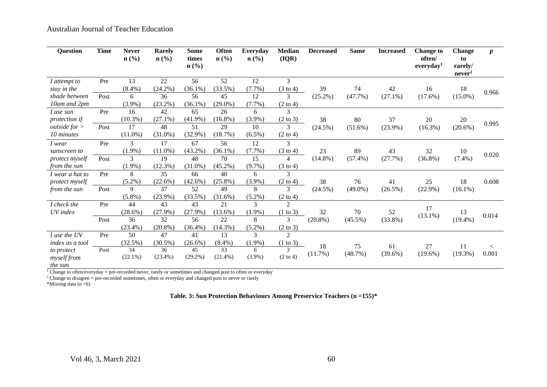| <b>Question</b>        | <b>Time</b> | <b>Never</b><br>$\mathbf{n}(\%)$ | <b>Rarely</b><br>$n\left(\frac{9}{6}\right)$ | <b>Some</b><br>times<br>$n\left(\frac{0}{0}\right)$ | <b>Often</b><br>n(%) | Everyday<br>$n\left(\frac{0}{0}\right)$ | <b>Median</b><br>(IQR) | <b>Decreased</b> | <b>Same</b> | <b>Increased</b> | <b>Change to</b><br>often/<br>everyday <sup>1</sup> | <b>Change</b><br>to<br>rarely/<br>never <sup>2</sup> | $\boldsymbol{p}$ |
|------------------------|-------------|----------------------------------|----------------------------------------------|-----------------------------------------------------|----------------------|-----------------------------------------|------------------------|------------------|-------------|------------------|-----------------------------------------------------|------------------------------------------------------|------------------|
| I attempt to           | Pre         | 13                               | 22                                           | 56                                                  | 52                   | 12                                      | 3                      |                  |             |                  |                                                     |                                                      |                  |
| stay in the            |             | $(8.4\%)$                        | (24.2%)                                      | $(36.1\%)$                                          | (33.5%)              | $(7.7\%)$                               | $(3 \text{ to } 4)$    | 39               | 74          | 42               | 16                                                  | 18                                                   | 0.966            |
| shade between          | Post        | 6                                | 36                                           | 56                                                  | 45                   | 12                                      | 3                      | $(25.2\%)$       | (47.7%)     | $(27.1\%)$       | $(17.6\%)$                                          | $(15.0\%)$                                           |                  |
| 10am and 2pm           |             | $(3.9\%)$                        | $(23.2\%)$                                   | $(36.1\%)$                                          | $(29.0\%)$           | $(7.7\%)$                               | $(2 \text{ to } 4)$    |                  |             |                  |                                                     |                                                      |                  |
| I use sun              | Pre         | 16                               | 42                                           | 65                                                  | 26                   | 6                                       | 3                      |                  |             |                  |                                                     |                                                      |                  |
| <i>protection if</i>   |             | $(10.3\%)$                       | $(27.1\%)$                                   | $(41.9\%)$                                          | $(16.8\%)$           | $(3.9\%)$                               | $(2 \text{ to } 3)$    | 38               | 80          | 37               | 20                                                  | 20                                                   |                  |
| <i>outside for</i> $>$ | Post        | 17                               | 48                                           | 51                                                  | 29                   | 10                                      | 3                      | $(24.5\%)$       | $(51.6\%)$  | $(23.9\%)$       | $(16.3\%)$                                          | $(20.6\%)$                                           | 0.995            |
| 10 minutes             |             | $(11.0\%)$                       | $(31.0\%)$                                   | $(32.9\%)$                                          | (18.7%)              | $(6.5\%)$                               | $(2 \text{ to } 4)$    |                  |             |                  |                                                     |                                                      |                  |
| I wear                 | Pre         | 3                                | 17                                           | 67                                                  | 56                   | 12                                      | 3                      |                  |             |                  |                                                     |                                                      |                  |
| sunscreen to           |             | $(1.9\%)$                        | $(11.0\%)$                                   | (43.2%)                                             | $(36.1\%)$           | (7.7%)                                  | $(3 \text{ to } 4)$    | 23               | 89          | 43               | 32                                                  | 10                                                   | 0.020            |
| <i>protect myself</i>  | Post        | 3                                | 19                                           | 48                                                  | 70                   | 15                                      | 4                      | $(14.8\%)$       | $(57.4\%)$  | (27.7%)          | $(36.8\%)$                                          | $(7.4\%)$                                            |                  |
| from the sun           |             | $(1.9\%)$                        | $(12.3\%)$                                   | $(31.0\%)$                                          | $(45.2\%)$           | $(9.7\%)$                               | $(3 \text{ to } 4)$    |                  |             |                  |                                                     |                                                      |                  |
| I wear a hat to        | Pre         | 8                                | 35                                           | 66                                                  | 40                   | 6                                       | 3                      |                  |             |                  |                                                     |                                                      |                  |
| protect myself         |             | $(5.2\%)$                        | $(22.6\%)$                                   | $(42.6\%)$                                          | $(25.8\%)$           | $(3.9\%)$                               | $(2 \text{ to } 4)$    | 38               | 76          | 41               | 25                                                  | 18                                                   | 0.608            |
| from the sun           | Post        | 9                                | 37                                           | 52                                                  | 49                   | 8                                       | 3                      | $(24.5\%)$       | $(49.0\%)$  | $(26.5\%)$       | $(22.9\%)$                                          | $(16.1\%)$                                           |                  |
|                        |             | $(5.8\%)$                        | $(23.9\%)$                                   | (33.5%)                                             | $(31.6\%)$           | $(5.2\%)$                               | $(2 \text{ to } 4)$    |                  |             |                  |                                                     |                                                      |                  |
| I check the            | Pre         | 44                               | 43                                           | 43                                                  | 21                   | 3                                       | $\overline{c}$         |                  |             |                  | 17                                                  |                                                      |                  |
| UV index               |             | $(28.6\%)$                       | $(27.9\%)$                                   | (27.9%)                                             | $(13.6\%)$           | $(1.9\%)$                               | (1 to 3)               | 32               | 70          | 52               | $(13.1\%)$                                          | 13                                                   | 0.014            |
|                        | Post        | 36                               | 32                                           | 56                                                  | 22                   | 8                                       | 3                      | $(20.8\%)$       | $(45.5\%)$  | $(33.8\%)$       |                                                     | $(19.4\%)$                                           |                  |
|                        |             | (23.4%)                          | $(20.8\%)$                                   | $(36.4\%)$                                          | $(14.3\%)$           | $(5.2\%)$                               | $(2 \text{ to } 3)$    |                  |             |                  |                                                     |                                                      |                  |
| I use the UV           | Pre         | 50                               | 47                                           | 41                                                  | 13                   | 3                                       | $\overline{2}$         |                  |             |                  |                                                     |                                                      |                  |
| index as a tool        |             | (32.5%)                          | $(30.5\%)$                                   | $(26.6\%)$                                          | $(8.4\%)$            | $(1.9\%)$                               | $(1 \text{ to } 3)$    | 18               | 75          | 61               | 27                                                  | 11                                                   | $\,<\,$          |
| to protect             | Post        | 34                               | 36                                           | 45                                                  | 33                   | 6                                       | 3                      | (11.7%)          | (48.7%)     | $(39.6\%)$       | $(19.6\%)$                                          | $(19.3\%)$                                           | 0.001            |
| myself from<br>the sun |             | $(22.1\%)$                       | $(23.4\%)$                                   | $(29.2\%)$                                          | $(21.4\%)$           | $(3.9\%)$                               | $(2 \text{ to } 4)$    |                  |             |                  |                                                     |                                                      |                  |

<sup>1</sup> Change to often/everyday = pre-recorded never, rarely or sometimes and changed post to often or everyday

 $2$  Change to disagree = pre-recorded sometimes, often or everyday and changed post to never or rarely

\*Missing data  $(n=6)$ 

**Table. 3: Sun Protection Behaviours Among Preservice Teachers (n =155)\***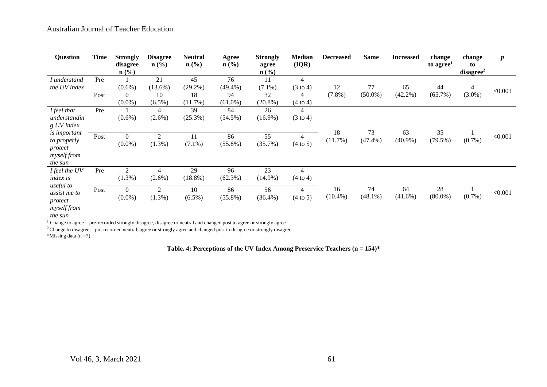| <b>Question</b>                                                                                                      | <b>Time</b> | <b>Strongly</b><br>disagree<br>$n\left(\frac{0}{0}\right)$ | <b>Disagree</b><br>$\mathbf{n}(\%)$           | Neutral<br>$n\left(\frac{0}{0}\right)$ | Agree<br>$n\left(\frac{6}{6}\right)$ | <b>Strongly</b><br>agree<br>$n\left(\frac{9}{6}\right)$ | <b>Median</b><br>(IQR)                                            | <b>Decreased</b> | <b>Same</b>      | <b>Increased</b> | change<br>to agree <sup>1</sup> | change<br>to<br>disagree <sup>2</sup> | $\pmb{p}$ |
|----------------------------------------------------------------------------------------------------------------------|-------------|------------------------------------------------------------|-----------------------------------------------|----------------------------------------|--------------------------------------|---------------------------------------------------------|-------------------------------------------------------------------|------------------|------------------|------------------|---------------------------------|---------------------------------------|-----------|
| I understand<br>the UV index                                                                                         | Pre<br>Post | $(0.6\%)$<br>$\overline{0}$<br>$(0.0\%)$                   | 21<br>$(13.6\%)$<br>10<br>$(6.5\%)$           | 45<br>$(29.2\%)$<br>18<br>(11.7%)      | 76<br>$(49.4\%)$<br>94<br>$(61.0\%)$ | 11<br>$(7.1\%)$<br>32<br>$(20.8\%)$                     | $\overline{4}$<br>$(3 \text{ to } 4)$<br>4<br>$(4 \text{ to } 4)$ | 12<br>$(7.8\%)$  | 77<br>$(50.0\%)$ | 65<br>$(42.2\%)$ | 44<br>$(65.7\%)$                | 4<br>$(3.0\%)$                        | < 0.001   |
| I feel that<br>understandin<br>g UV index<br><i>is important</i><br>to properly<br>protect<br>myself from            | Pre<br>Post | $(0.6\%)$<br>$\overline{0}$<br>$(0.0\%)$                   | $\overline{4}$<br>$(2.6\%)$<br>2<br>$(1.3\%)$ | 39<br>$(25.3\%)$<br>11<br>$(7.1\%)$    | 84<br>$(54.5\%)$<br>86<br>$(55.8\%)$ | 26<br>$(16.9\%)$<br>55<br>(35.7%)                       | 4<br>$(3 \text{ to } 4)$<br>$\overline{4}$<br>(4 to 5)            | 18<br>(11.7%)    | 73<br>$(47.4\%)$ | 63<br>$(40.9\%)$ | 35<br>$(79.5\%)$                | $(0.7\%)$                             | < 0.001   |
| the sun<br>I feel the UV<br><i>index is</i><br>useful to<br>assist me to<br>protect<br><i>myself from</i><br>the sun | Pre<br>Post | 2<br>$(1.3\%)$<br>$\overline{0}$<br>$(0.0\%)$              | $(2.6\%)$<br>$\overline{2}$<br>$(1.3\%)$      | 29<br>$(18.8\%)$<br>10<br>$(6.5\%)$    | 96<br>$(62.3\%)$<br>86<br>$(55.8\%)$ | 23<br>$(14.9\%)$<br>56<br>$(36.4\%)$                    | 4<br>$(4 \text{ to } 4)$<br>$\overline{4}$<br>(4 to 5)            | 16<br>$(10.4\%)$ | 74<br>$(48.1\%)$ | 64<br>$(41.6\%)$ | 28<br>$(80.0\%)$                | $(0.7\%)$                             | < 0.001   |

 $1$  Change to agree = pre-recorded strongly disagree, disagree or neutral and changed post to agree or strongly agree

 $^{2}$ Change to disagree = pre-recorded neutral, agree or strongly agree and changed post to disagree or strongly disagree

\*Missing data  $(n = 7)$ 

**Table. 4: Perceptions of the UV Index Among Preservice Teachers (n = 154)\***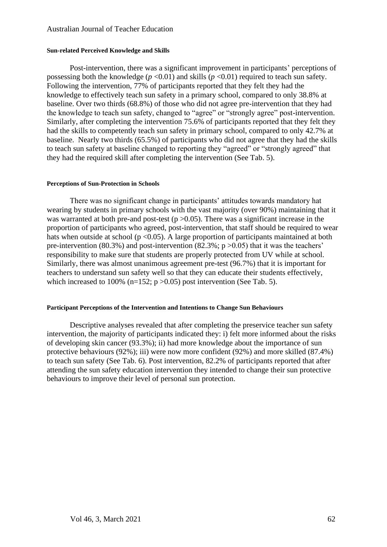#### **Sun-related Perceived Knowledge and Skills**

Post-intervention, there was a significant improvement in participants' perceptions of possessing both the knowledge ( $p$  <0.01) and skills ( $p$  <0.01) required to teach sun safety. Following the intervention, 77% of participants reported that they felt they had the knowledge to effectively teach sun safety in a primary school, compared to only 38.8% at baseline. Over two thirds (68.8%) of those who did not agree pre-intervention that they had the knowledge to teach sun safety, changed to "agree" or "strongly agree" post-intervention. Similarly, after completing the intervention 75.6% of participants reported that they felt they had the skills to competently teach sun safety in primary school, compared to only 42.7% at baseline. Nearly two thirds (65.5%) of participants who did not agree that they had the skills to teach sun safety at baseline changed to reporting they "agreed" or "strongly agreed" that they had the required skill after completing the intervention (See Tab. 5).

#### **Perceptions of Sun-Protection in Schools**

There was no significant change in participants' attitudes towards mandatory hat wearing by students in primary schools with the vast majority (over 90%) maintaining that it was warranted at both pre-and post-test ( $p > 0.05$ ). There was a significant increase in the proportion of participants who agreed, post-intervention, that staff should be required to wear hats when outside at school ( $p \le 0.05$ ). A large proportion of participants maintained at both pre-intervention (80.3%) and post-intervention (82.3%;  $p > 0.05$ ) that it was the teachers' responsibility to make sure that students are properly protected from UV while at school. Similarly, there was almost unanimous agreement pre-test (96.7%) that it is important for teachers to understand sun safety well so that they can educate their students effectively, which increased to 100% (n=152;  $p > 0.05$ ) post intervention (See Tab. 5).

#### **Participant Perceptions of the Intervention and Intentions to Change Sun Behaviours**

Descriptive analyses revealed that after completing the preservice teacher sun safety intervention, the majority of participants indicated they: i) felt more informed about the risks of developing skin cancer (93.3%); ii) had more knowledge about the importance of sun protective behaviours (92%); iii) were now more confident (92%) and more skilled (87.4%) to teach sun safety (See Tab. 6). Post intervention, 82.2% of participants reported that after attending the sun safety education intervention they intended to change their sun protective behaviours to improve their level of personal sun protection.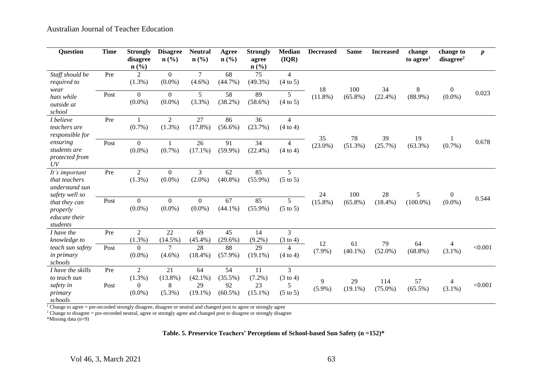| <b>Question</b>                                                      | <b>Time</b> | <b>Strongly</b><br>disagree<br>n(%)                        | <b>Disagree</b><br>$n$ (%)         | <b>Neutral</b><br>n(%)               | Agree<br>$n\left(\frac{0}{0}\right)$ | <b>Strongly</b><br>agree<br>n(%)    | <b>Median</b><br>(IQR)                               | <b>Decreased</b> | <b>Same</b>      | <b>Increased</b>  | change<br>to agree <sup>1</sup> | change to<br>disagree <sup>2</sup> | $\boldsymbol{p}$ |
|----------------------------------------------------------------------|-------------|------------------------------------------------------------|------------------------------------|--------------------------------------|--------------------------------------|-------------------------------------|------------------------------------------------------|------------------|------------------|-------------------|---------------------------------|------------------------------------|------------------|
| Staff should be<br>required to<br>wear                               | Pre         | $\overline{2}$<br>$(1.3\%)$                                | $\Omega$<br>$(0.0\%)$              | $\overline{7}$<br>$(4.6\%)$          | 68<br>$(44.7\%)$                     | 75<br>$(49.3\%)$                    | $\overline{4}$<br>$(4 \text{ to } 5)$                | 18               | 100              | 34                | 8                               | $\overline{0}$                     |                  |
| hats while<br>outside at<br>school                                   | Post        | $\boldsymbol{0}$<br>$(0.0\%)$                              | $\boldsymbol{0}$<br>$(0.0\%)$      | 5<br>(3.3%)                          | 58<br>$(38.2\%)$                     | 89<br>$(58.6\%)$                    | 5<br>$(4 \text{ to } 5)$                             | $(11.8\%)$       | $(65.8\%)$       | (22.4%)           | $(88.9\%)$                      | $(0.0\%)$                          | 0.023            |
| <i>I</i> believe<br>teachers are<br>responsible for                  | Pre         | $(0.7\%)$                                                  | $\overline{2}$<br>$(1.3\%)$        | 27<br>$(17.8\%)$                     | 86<br>$(56.6\%)$                     | 36<br>(23.7%)                       | $\overline{4}$<br>$(4 \text{ to } 4)$                |                  |                  |                   |                                 |                                    |                  |
| ensuring<br>students are<br>protected from<br>UV                     | Post        | $\boldsymbol{0}$<br>$(0.0\%)$                              | 1<br>$(0.7\%)$                     | 26<br>$(17.1\%)$                     | 91<br>$(59.9\%)$                     | 34<br>$(22.4\%)$                    | 4<br>$(4 \text{ to } 4)$                             | 35<br>$(23.0\%)$ | 78<br>(51.3%)    | 39<br>(25.7%)     | 19<br>$(63.3\%)$                | 1<br>$(0.7\%)$                     | 0.678            |
| It's important<br>that teachers<br>understand sun<br>safety well so  | Pre         | $\overline{2}$<br>$(1.3\%)$                                | $\mathbf{0}$<br>$(0.0\%)$          | 3<br>$(2.0\%)$                       | 62<br>$(40.8\%)$                     | 85<br>$(55.9\%)$                    | 5<br>$(5 \text{ to } 5)$                             | 24               | 100              | 28                | 5                               | $\overline{0}$                     |                  |
| that they can<br>properly<br>educate their<br>students               | Post        | $\boldsymbol{0}$<br>$(0.0\%)$                              | $\boldsymbol{0}$<br>$(0.0\%)$      | $\boldsymbol{0}$<br>$(0.0\%)$        | 67<br>$(44.1\%)$                     | 85<br>$(55.9\%)$                    | 5<br>$(5 \text{ to } 5)$                             | $(15.8\%)$       | $(65.8\%)$       | $(18.4\%)$        | $(100.0\%)$                     | $(0.0\%)$                          | 0.544            |
| I have the<br>knowledge to                                           | Pre         | $\sqrt{2}$<br>$(1.3\%)$                                    | 22<br>$(14.5\%)$                   | 69<br>$(45.4\%)$                     | 45<br>$(29.6\%)$                     | 14<br>$(9.2\%)$                     | 3<br>$(3 \text{ to } 4)$                             | 12               | 61               | 79                | 64                              | 4                                  |                  |
| teach sun safety<br><i>in primary</i><br>schools                     | Post        | $\overline{0}$<br>$(0.0\%)$                                | $\overline{7}$<br>$(4.6\%)$        | 28<br>$(18.4\%)$                     | 88<br>$(57.9\%)$                     | 29<br>$(19.1\%)$                    | 4<br>$(4 \text{ to } 4)$                             | $(7.9\%)$        | $(40.1\%)$       | $(52.0\%)$        | $(68.8\%)$                      | $(3.1\%)$                          | < 0.001          |
| I have the skills<br>to teach sun<br>safety in<br>primary<br>schools | Pre<br>Post | $\overline{2}$<br>$(1.3\%)$<br>$\overline{0}$<br>$(0.0\%)$ | 21<br>$(13.8\%)$<br>8<br>$(5.3\%)$ | 64<br>$(42.1\%)$<br>29<br>$(19.1\%)$ | 54<br>$(35.5\%)$<br>92<br>$(60.5\%)$ | 11<br>$(7.2\%)$<br>23<br>$(15.1\%)$ | 3<br>$(3 \text{ to } 4)$<br>5<br>$(5 \text{ to } 5)$ | 9<br>$(5.9\%)$   | 29<br>$(19.1\%)$ | 114<br>$(75.0\%)$ | 57<br>$(65.5\%)$                | 4<br>$(3.1\%)$                     | < 0.001          |

<sup>1</sup> Change to agree = pre-recorded strongly disagree, disagree or neutral and changed post to agree or strongly agree

 $2$  Change to disagree = pre-recorded neutral, agree or strongly agree and changed post to disagree or strongly disagree

\*Missing data (n=9)

**Table. 5. Preservice Teachers' Perceptions of School-based Sun Safety (n =152)\***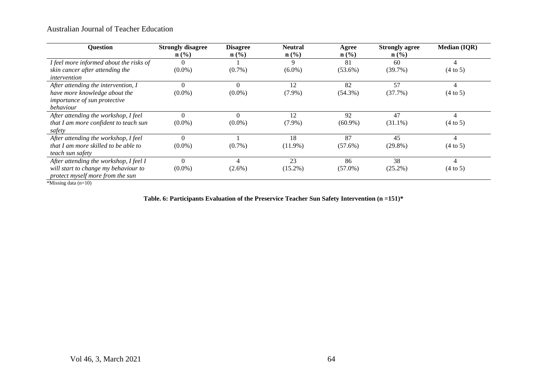| Question                                                                         | <b>Strongly disagree</b>    | <b>Disagree</b>  | <b>Neutral</b>              | Agree            | <b>Strongly agree</b> | <b>Median (IQR)</b> |
|----------------------------------------------------------------------------------|-----------------------------|------------------|-----------------------------|------------------|-----------------------|---------------------|
|                                                                                  | $n\left(\frac{0}{0}\right)$ | $\mathbf{n}(\%)$ | $n\left(\frac{0}{0}\right)$ | $\mathbf{n}(\%)$ | $\mathbf{n}(\%)$      |                     |
| I feel more informed about the risks of                                          |                             |                  | 9                           | 81               | 60                    | 4                   |
| skin cancer after attending the                                                  | $(0.0\%)$                   | $(0.7\%)$        | $(6.0\%)$                   | $(53.6\%)$       | (39.7%)               | $(4 \text{ to } 5)$ |
| intervention                                                                     |                             |                  |                             |                  |                       |                     |
| After attending the intervention, I                                              |                             | $\theta$         | 12                          | 82               | 57                    |                     |
| have more knowledge about the                                                    | $(0.0\%)$                   | $(0.0\%)$        | $(7.9\%)$                   | $(54.3\%)$       | (37.7%)               | $(4 \text{ to } 5)$ |
| importance of sun protective                                                     |                             |                  |                             |                  |                       |                     |
| behaviour                                                                        |                             |                  |                             |                  |                       |                     |
| After attending the workshop, I feel                                             |                             | $\theta$         | 12                          | 92               | 47                    |                     |
| that I am more confident to teach sun                                            | $(0.0\%)$                   | $(0.0\%)$        | $(7.9\%)$                   | $(60.9\%)$       | $(31.1\%)$            | $(4 \text{ to } 5)$ |
| safety                                                                           |                             |                  |                             |                  |                       |                     |
| After attending the workshop, I feel                                             |                             |                  | 18                          | 87               | 45                    |                     |
| that I am more skilled to be able to                                             | $(0.0\%)$                   | $(0.7\%)$        | $(11.9\%)$                  | $(57.6\%)$       | $(29.8\%)$            | $(4 \text{ to } 5)$ |
| teach sun safety                                                                 |                             |                  |                             |                  |                       |                     |
| After attending the workshop, I feel I                                           | $\Omega$                    | 4                | 23                          | 86               | 38                    | 4                   |
| will start to change my behaviour to                                             | $(0.0\%)$                   | $(2.6\%)$        | $(15.2\%)$                  | $(57.0\%)$       | $(25.2\%)$            | $(4 \text{ to } 5)$ |
| protect myself more from the sun                                                 |                             |                  |                             |                  |                       |                     |
| $\psi$ and $\psi$ in the set of $\psi$ in the set of $\psi$ in the set of $\psi$ |                             |                  |                             |                  |                       |                     |

\*Missing data (n=10)

**Table. 6: Participants Evaluation of the Preservice Teacher Sun Safety Intervention (n =151)\***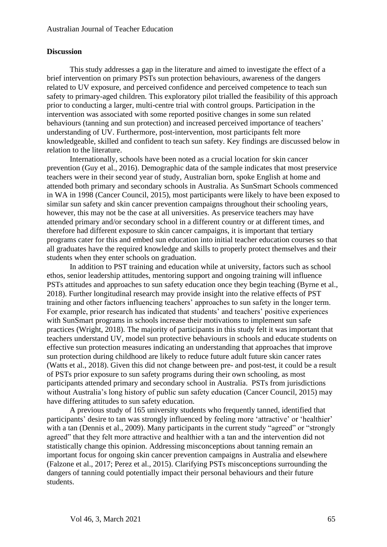### **Discussion**

This study addresses a gap in the literature and aimed to investigate the effect of a brief intervention on primary PSTs sun protection behaviours, awareness of the dangers related to UV exposure, and perceived confidence and perceived competence to teach sun safety to primary-aged children. This exploratory pilot trialled the feasibility of this approach prior to conducting a larger, multi-centre trial with control groups. Participation in the intervention was associated with some reported positive changes in some sun related behaviours (tanning and sun protection) and increased perceived importance of teachers' understanding of UV. Furthermore, post-intervention, most participants felt more knowledgeable, skilled and confident to teach sun safety. Key findings are discussed below in relation to the literature.

Internationally, schools have been noted as a crucial location for skin cancer prevention (Guy et al., 2016). Demographic data of the sample indicates that most preservice teachers were in their second year of study, Australian born, spoke English at home and attended both primary and secondary schools in Australia. As SunSmart Schools commenced in WA in 1998 (Cancer Council, 2015), most participants were likely to have been exposed to similar sun safety and skin cancer prevention campaigns throughout their schooling years, however, this may not be the case at all universities. As preservice teachers may have attended primary and/or secondary school in a different country or at different times, and therefore had different exposure to skin cancer campaigns, it is important that tertiary programs cater for this and embed sun education into initial teacher education courses so that all graduates have the required knowledge and skills to properly protect themselves and their students when they enter schools on graduation.

In addition to PST training and education while at university, factors such as school ethos, senior leadership attitudes, mentoring support and ongoing training will influence PSTs attitudes and approaches to sun safety education once they begin teaching (Byrne et al., 2018). Further longitudinal research may provide insight into the relative effects of PST training and other factors influencing teachers' approaches to sun safety in the longer term. For example, prior research has indicated that students' and teachers' positive experiences with SunSmart programs in schools increase their motivations to implement sun safe practices (Wright, 2018). The majority of participants in this study felt it was important that teachers understand UV, model sun protective behaviours in schools and educate students on effective sun protection measures indicating an understanding that approaches that improve sun protection during childhood are likely to reduce future adult future skin cancer rates (Watts et al., 2018). Given this did not change between pre- and post-test, it could be a result of PSTs prior exposure to sun safety programs during their own schooling, as most participants attended primary and secondary school in Australia. PSTs from jurisdictions without Australia's long history of public sun safety education (Cancer Council, 2015) may have differing attitudes to sun safety education.

A previous study of 165 university students who frequently tanned, identified that participants' desire to tan was strongly influenced by feeling more 'attractive' or 'healthier' with a tan (Dennis et al., 2009). Many participants in the current study "agreed" or "strongly agreed" that they felt more attractive and healthier with a tan and the intervention did not statistically change this opinion. Addressing misconceptions about tanning remain an important focus for ongoing skin cancer prevention campaigns in Australia and elsewhere (Falzone et al., 2017; Perez et al., 2015). Clarifying PSTs misconceptions surrounding the dangers of tanning could potentially impact their personal behaviours and their future students.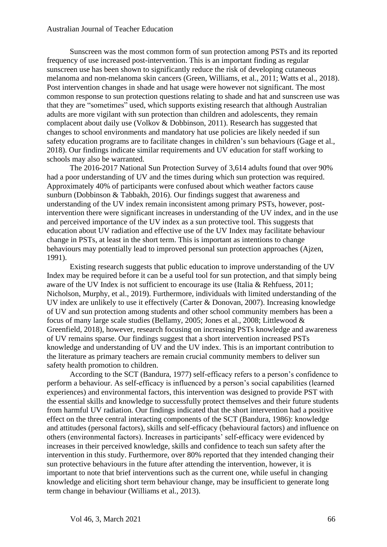Sunscreen was the most common form of sun protection among PSTs and its reported frequency of use increased post-intervention. This is an important finding as regular sunscreen use has been shown to significantly reduce the risk of developing cutaneous melanoma and non-melanoma skin cancers (Green, Williams, et al., 2011; Watts et al., 2018). Post intervention changes in shade and hat usage were however not significant. The most common response to sun protection questions relating to shade and hat and sunscreen use was that they are "sometimes" used, which supports existing research that although Australian adults are more vigilant with sun protection than children and adolescents, they remain complacent about daily use (Volkov & Dobbinson, 2011). Research has suggested that changes to school environments and mandatory hat use policies are likely needed if sun safety education programs are to facilitate changes in children's sun behaviours (Gage et al., 2018). Our findings indicate similar requirements and UV education for staff working to schools may also be warranted.

The 2016-2017 National Sun Protection Survey of 3,614 adults found that over 90% had a poor understanding of UV and the times during which sun protection was required. Approximately 40% of participants were confused about which weather factors cause sunburn (Dobbinson & Tabbakh, 2016). Our findings suggest that awareness and understanding of the UV index remain inconsistent among primary PSTs, however, postintervention there were significant increases in understanding of the UV index, and in the use and perceived importance of the UV index as a sun protective tool. This suggests that education about UV radiation and effective use of the UV Index may facilitate behaviour change in PSTs, at least in the short term. This is important as intentions to change behaviours may potentially lead to improved personal sun protection approaches (Ajzen, 1991).

Existing research suggests that public education to improve understanding of the UV Index may be required before it can be a useful tool for sun protection, and that simply being aware of the UV Index is not sufficient to encourage its use (Italia & Rehfuess, 2011; Nicholson, Murphy, et al., 2019). Furthermore, individuals with limited understanding of the UV index are unlikely to use it effectively (Carter & Donovan, 2007). Increasing knowledge of UV and sun protection among students and other school community members has been a focus of many large scale studies (Bellamy, 2005; Jones et al., 2008; Littlewood & Greenfield, 2018), however, research focusing on increasing PSTs knowledge and awareness of UV remains sparse. Our findings suggest that a short intervention increased PSTs knowledge and understanding of UV and the UV index. This is an important contribution to the literature as primary teachers are remain crucial community members to deliver sun safety health promotion to children.

According to the SCT (Bandura, 1977) self-efficacy refers to a person's confidence to perform a behaviour. As self-efficacy is influenced by a person's social capabilities (learned experiences) and environmental factors, this intervention was designed to provide PST with the essential skills and knowledge to successfully protect themselves and their future students from harmful UV radiation. Our findings indicated that the short intervention had a positive effect on the three central interacting components of the SCT (Bandura, 1986): knowledge and attitudes (personal factors), skills and self-efficacy (behavioural factors) and influence on others (environmental factors). Increases in participants' self-efficacy were evidenced by increases in their perceived knowledge, skills and confidence to teach sun safety after the intervention in this study. Furthermore, over 80% reported that they intended changing their sun protective behaviours in the future after attending the intervention, however, it is important to note that brief interventions such as the current one, while useful in changing knowledge and eliciting short term behaviour change, may be insufficient to generate long term change in behaviour (Williams et al., 2013).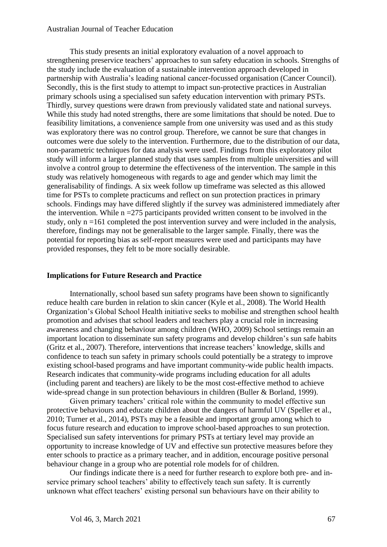This study presents an initial exploratory evaluation of a novel approach to strengthening preservice teachers' approaches to sun safety education in schools. Strengths of the study include the evaluation of a sustainable intervention approach developed in partnership with Australia's leading national cancer-focussed organisation (Cancer Council). Secondly, this is the first study to attempt to impact sun-protective practices in Australian primary schools using a specialised sun safety education intervention with primary PSTs. Thirdly, survey questions were drawn from previously validated state and national surveys. While this study had noted strengths, there are some limitations that should be noted. Due to feasibility limitations, a convenience sample from one university was used and as this study was exploratory there was no control group. Therefore, we cannot be sure that changes in outcomes were due solely to the intervention. Furthermore, due to the distribution of our data, non-parametric techniques for data analysis were used. Findings from this exploratory pilot study will inform a larger planned study that uses samples from multiple universities and will involve a control group to determine the effectiveness of the intervention. The sample in this study was relatively homogeneous with regards to age and gender which may limit the generalisability of findings. A six week follow up timeframe was selected as this allowed time for PSTs to complete practicums and reflect on sun protection practices in primary schools. Findings may have differed slightly if the survey was administered immediately after the intervention. While  $n = 275$  participants provided written consent to be involved in the study, only n =161 completed the post intervention survey and were included in the analysis, therefore, findings may not be generalisable to the larger sample. Finally, there was the potential for reporting bias as self-report measures were used and participants may have provided responses, they felt to be more socially desirable.

### **Implications for Future Research and Practice**

Internationally, school based sun safety programs have been shown to significantly reduce health care burden in relation to skin cancer (Kyle et al., 2008). The World Health Organization's Global School Health initiative seeks to mobilise and strengthen school health promotion and advises that school leaders and teachers play a crucial role in increasing awareness and changing behaviour among children (WHO, 2009) School settings remain an important location to disseminate sun safety programs and develop children's sun safe habits (Gritz et al., 2007). Therefore, interventions that increase teachers' knowledge, skills and confidence to teach sun safety in primary schools could potentially be a strategy to improve existing school-based programs and have important community-wide public health impacts. Research indicates that community-wide programs including education for all adults (including parent and teachers) are likely to be the most cost-effective method to achieve wide-spread change in sun protection behaviours in children (Buller & Borland, 1999).

Given primary teachers' critical role within the community to model effective sun protective behaviours and educate children about the dangers of harmful UV (Speller et al., 2010; Turner et al., 2014), PSTs may be a feasible and important group among which to focus future research and education to improve school-based approaches to sun protection. Specialised sun safety interventions for primary PSTs at tertiary level may provide an opportunity to increase knowledge of UV and effective sun protective measures before they enter schools to practice as a primary teacher, and in addition, encourage positive personal behaviour change in a group who are potential role models for of children.

Our findings indicate there is a need for further research to explore both pre- and inservice primary school teachers' ability to effectively teach sun safety. It is currently unknown what effect teachers' existing personal sun behaviours have on their ability to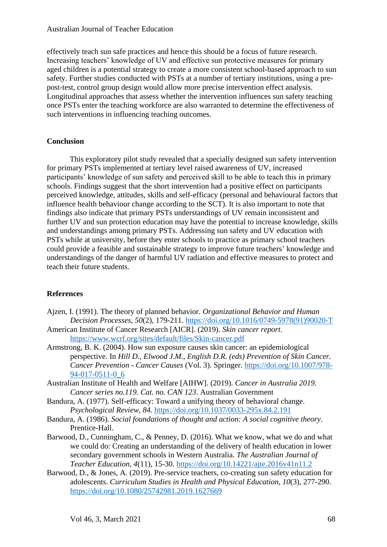effectively teach sun safe practices and hence this should be a focus of future research. Increasing teachers' knowledge of UV and effective sun protective measures for primary aged children is a potential strategy to create a more consistent school-based approach to sun safety. Further studies conducted with PSTs at a number of tertiary institutions, using a prepost-test, control group design would allow more precise intervention effect analysis. Longitudinal approaches that assess whether the intervention influences sun safety teaching once PSTs enter the teaching workforce are also warranted to determine the effectiveness of such interventions in influencing teaching outcomes.

# **Conclusion**

This exploratory pilot study revealed that a specially designed sun safety intervention for primary PSTs implemented at tertiary level raised awareness of UV, increased participants' knowledge of sun safety and perceived skill to be able to teach this in primary schools. Findings suggest that the short intervention had a positive effect on participants perceived knowledge, attitudes, skills and self-efficacy (personal and behavioural factors that influence health behaviour change according to the SCT). It is also important to note that findings also indicate that primary PSTs understandings of UV remain inconsistent and further UV and sun protection education may have the potential to increase knowledge, skills and understandings among primary PSTs. Addressing sun safety and UV education with PSTs while at university, before they enter schools to practice as primary school teachers could provide a feasible and sustainable strategy to improve future teachers' knowledge and understandings of the danger of harmful UV radiation and effective measures to protect and teach their future students.

# **References**

- Ajzen, I. (1991). The theory of planned behavior. *Organizational Behavior and Human Decision Processes, 50*(2), 179-211. [https://doi.org/10.1016/0749-5978\(91\)90020-T](https://doi.org/10.1016/0749-5978(91)90020-T)
- American Institute of Cancer Research [AICR]. (2019). *Skin cancer report*. <https://www.wcrf.org/sites/default/files/Skin-cancer.pdf>
- Armstrong, B. K. (2004). How sun exposure causes skin cancer: an epidemiological perspective. In *Hill D., Elwood J.M., English D.R. (eds) Prevention of Skin Cancer. Cancer Prevention - Cancer Causes* (Vol. 3). Springer. [https://doi.org/10.1007/978-](https://doi.org/10.1007/978-94-017-0511-0_6) [94-017-0511-0\\_6](https://doi.org/10.1007/978-94-017-0511-0_6)
- Australian Institute of Health and Welfare [AIHW]. (2019). *Cancer in Australia 2019. Cancer series no.119. Cat. no. CAN 123*. Australian Government
- Bandura, A. (1977). Self-efficacy: Toward a unifying theory of behavioral change. *Psychological Review, 84*.<https://doi.org/10.1037/0033-295x.84.2.191>
- Bandura, A. (1986). *Social foundations of thought and action: A social cognitive theory*. Prentice-Hall.
- Barwood, D., Cunningham, C., & Penney, D. (2016). What we know, what we do and what we could do: Creating an understanding of the delivery of health education in lower secondary government schools in Western Australia. *The Australian Journal of Teacher Education, 4*(11), 15-30. <https://doi.org/10.14221/ajte.2016v41n11.2>
- Barwood, D., & Jones, A. (2019). Pre-service teachers, co-creating sun safety education for adolescents. *Curriculum Studies in Health and Physical Education, 10*(3), 277-290. <https://doi.org/10.1080/25742981.2019.1627669>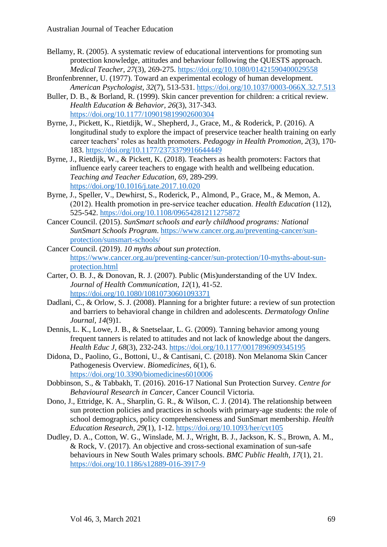- Bellamy, R. (2005). A systematic review of educational interventions for promoting sun protection knowledge, attitudes and behaviour following the QUESTS approach. *Medical Teacher, 27*(3), 269-275.<https://doi.org/10.1080/01421590400029558>
- Bronfenbrenner, U. (1977). Toward an experimental ecology of human development. *American Psychologist, 32*(7), 513-531.<https://doi.org/10.1037/0003-066X.32.7.513>
- Buller, D. B., & Borland, R. (1999). Skin cancer prevention for children: a critical review. *Health Education & Behavior, 26*(3), 317-343. <https://doi.org/10.1177/109019819902600304>
- Byrne, J., Pickett, K., Rietdijk, W., Shepherd, J., Grace, M., & Roderick, P. (2016). A longitudinal study to explore the impact of preservice teacher health training on early career teachers' roles as health promoters. *Pedagogy in Health Promotion, 2*(3), 170- 183.<https://doi.org/10.1177/2373379916644449>
- Byrne, J., Rietdijk, W., & Pickett, K. (2018). Teachers as health promoters: Factors that influence early career teachers to engage with health and wellbeing education. *Teaching and Teacher Education, 69*, 289-299. <https://doi.org/10.1016/j.tate.2017.10.020>
- Byrne, J., Speller, V., Dewhirst, S., Roderick, P., Almond, P., Grace, M., & Memon, A. (2012). Health promotion in pre‐service teacher education. *Health Education* (112), 525-542.<https://doi.org/10.1108/09654281211275872>
- Cancer Council. (2015). *SunSmart schools and early childhood programs: National SunSmart Schools Program*. [https://www.cancer.org.au/preventing-cancer/sun](https://www.cancer.org.au/preventing-cancer/sun-protection/sunsmart-schools/)[protection/sunsmart-schools/](https://www.cancer.org.au/preventing-cancer/sun-protection/sunsmart-schools/)
- Cancer Council. (2019). *10 myths about sun protection*. [https://www.cancer.org.au/preventing-cancer/sun-protection/10-myths-about-sun](https://www.cancer.org.au/preventing-cancer/sun-protection/10-myths-about-sun-protection.html)[protection.html](https://www.cancer.org.au/preventing-cancer/sun-protection/10-myths-about-sun-protection.html)
- Carter, O. B. J., & Donovan, R. J. (2007). Public (Mis)understanding of the UV Index. *Journal of Health Communication, 12*(1), 41-52. <https://doi.org/10.1080/10810730601093371>
- Dadlani, C., & Orlow, S. J. (2008). Planning for a brighter future: a review of sun protection and barriers to behavioral change in children and adolescents. *Dermatology Online Journal, 14*(9)1.
- Dennis, L. K., Lowe, J. B., & Snetselaar, L. G. (2009). Tanning behavior among young frequent tanners is related to attitudes and not lack of knowledge about the dangers. *Health Educ J, 68*(3), 232-243.<https://doi.org/10.1177/0017896909345195>
- Didona, D., Paolino, G., Bottoni, U., & Cantisani, C. (2018). Non Melanoma Skin Cancer Pathogenesis Overview. *Biomedicines, 6*(1), 6. <https://doi.org/10.3390/biomedicines6010006>
- Dobbinson, S., & Tabbakh, T. (2016). 2016-17 National Sun Protection Survey. *Centre for Behavioural Research in Cancer,* Cancer Council Victoria.
- Dono, J., Ettridge, K. A., Sharplin, G. R., & Wilson, C. J. (2014). The relationship between sun protection policies and practices in schools with primary-age students: the role of school demographics, policy comprehensiveness and SunSmart membership. *Health Education Research, 29*(1), 1-12.<https://doi.org/10.1093/her/cyt105>
- Dudley, D. A., Cotton, W. G., Winslade, M. J., Wright, B. J., Jackson, K. S., Brown, A. M., & Rock, V. (2017). An objective and cross-sectional examination of sun-safe behaviours in New South Wales primary schools. *BMC Public Health, 17*(1), 21. <https://doi.org/10.1186/s12889-016-3917-9>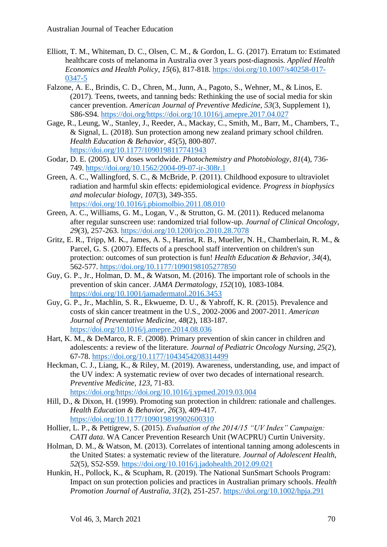- Elliott, T. M., Whiteman, D. C., Olsen, C. M., & Gordon, L. G. (2017). Erratum to: Estimated healthcare costs of melanoma in Australia over 3 years post-diagnosis. *Applied Health Economics and Health Policy, 15*(6), 817-818. [https://doi.org/10.1007/s40258-017-](https://doi.org/10.1007/s40258-017-0347-5) [0347-5](https://doi.org/10.1007/s40258-017-0347-5)
- Falzone, A. E., Brindis, C. D., Chren, M., Junn, A., Pagoto, S., Wehner, M., & Linos, E. (2017). Teens, tweets, and tanning beds: Rethinking the use of social media for skin cancer prevention. *American Journal of Preventive Medicine, 53*(3, Supplement 1), S86-S94. [https://doi.org/https://doi.org/10.1016/j.amepre.2017.04.027](https://doi.org/https:/doi.org/10.1016/j.amepre.2017.04.027)
- Gage, R., Leung, W., Stanley, J., Reeder, A., Mackay, C., Smith, M., Barr, M., Chambers, T., & Signal, L. (2018). Sun protection among new zealand primary school children. *Health Education & Behavior, 45*(5), 800-807. <https://doi.org/10.1177/1090198117741943>
- Godar, D. E. (2005). UV doses worldwide. *Photochemistry and Photobiology, 81*(4), 736- 749.<https://doi.org/10.1562/2004-09-07-ir-308r.1>
- Green, A. C., Wallingford, S. C., & McBride, P. (2011). Childhood exposure to ultraviolet radiation and harmful skin effects: epidemiological evidence. *Progress in biophysics and molecular biology, 107*(3), 349-355. <https://doi.org/10.1016/j.pbiomolbio.2011.08.010>
- Green, A. C., Williams, G. M., Logan, V., & Strutton, G. M. (2011). Reduced melanoma after regular sunscreen use: randomized trial follow-up. *Journal of Clinical Oncology, 29*(3), 257-263.<https://doi.org/10.1200/jco.2010.28.7078>
- Gritz, E. R., Tripp, M. K., James, A. S., Harrist, R. B., Mueller, N. H., Chamberlain, R. M., & Parcel, G. S. (2007). Effects of a preschool staff intervention on children's sun protection: outcomes of sun protection is fun! *Health Education & Behavior, 34*(4), 562-577.<https://doi.org/10.1177/1090198105277850>
- Guy, G. P., Jr., Holman, D. M., & Watson, M. (2016). The important role of schools in the prevention of skin cancer. *JAMA Dermatology, 152*(10), 1083-1084. <https://doi.org/10.1001/jamadermatol.2016.3453>
- Guy, G. P., Jr., Machlin, S. R., Ekwueme, D. U., & Yabroff, K. R. (2015). Prevalence and costs of skin cancer treatment in the U.S., 2002-2006 and 2007-2011. *American Journal of Preventative Medicine, 48*(2), 183-187. <https://doi.org/10.1016/j.amepre.2014.08.036>
- Hart, K. M., & DeMarco, R. F. (2008). Primary prevention of skin cancer in children and adolescents: a review of the literature. *Journal of Pediatric Oncology Nursing, 25*(2), 67-78.<https://doi.org/10.1177/1043454208314499>
- Heckman, C. J., Liang, K., & Riley, M. (2019). Awareness, understanding, use, and impact of the UV index: A systematic review of over two decades of international research. *Preventive Medicine, 123*, 71-83. [https://doi.org/https://doi.org/10.1016/j.ypmed.2019.03.004](https://doi.org/https:/doi.org/10.1016/j.ypmed.2019.03.004)
- Hill, D., & Dixon, H. (1999). Promoting sun protection in children: rationale and challenges. *Health Education & Behavior, 26*(3), 409-417. <https://doi.org/10.1177/109019819902600310>
- Hollier, L. P., & Pettigrew, S. (2015). *Evaluation of the 2014/15 "UV Index" Campaign: CATI data*. WA Cancer Prevention Research Unit (WACPRU) Curtin University.
- Holman, D. M., & Watson, M. (2013). Correlates of intentional tanning among adolescents in the United States: a systematic review of the literature. *Journal of Adolescent Health, 52*(5), S52-S59.<https://doi.org/10.1016/j.jadohealth.2012.09.021>
- Hunkin, H., Pollock, K., & Scupham, R. (2019). The National SunSmart Schools Program: Impact on sun protection policies and practices in Australian primary schools. *Health Promotion Journal of Australia, 31*(2), 251-257.<https://doi.org/10.1002/hpja.291>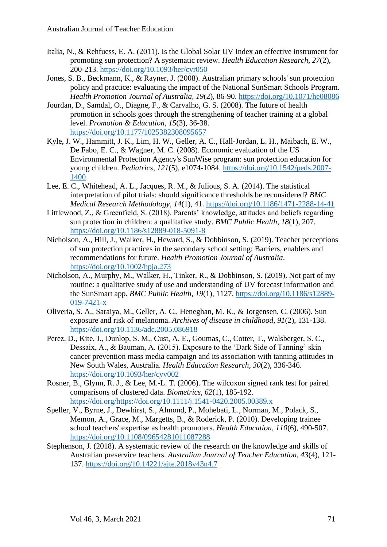- Italia, N., & Rehfuess, E. A. (2011). Is the Global Solar UV Index an effective instrument for promoting sun protection? A systematic review. *Health Education Research, 27*(2), 200-213.<https://doi.org/10.1093/her/cyr050>
- Jones, S. B., Beckmann, K., & Rayner, J. (2008). Australian primary schools' sun protection policy and practice: evaluating the impact of the National SunSmart Schools Program. *Health Promotion Journal of Australia, 19*(2), 86-90.<https://doi.org/10.1071/he08086>
- Jourdan, D., Samdal, O., Diagne, F., & Carvalho, G. S. (2008). The future of health promotion in schools goes through the strengthening of teacher training at a global level. *Promotion & Education, 15*(3), 36-38. <https://doi.org/10.1177/1025382308095657>
- Kyle, J. W., Hammitt, J. K., Lim, H. W., Geller, A. C., Hall-Jordan, L. H., Maibach, E. W., De Fabo, E. C., & Wagner, M. C. (2008). Economic evaluation of the US Environmental Protection Agency's SunWise program: sun protection education for young children. *Pediatrics, 121*(5), e1074-1084. [https://doi.org/10.1542/peds.2007-](https://doi.org/10.1542/peds.2007-1400) [1400](https://doi.org/10.1542/peds.2007-1400)
- Lee, E. C., Whitehead, A. L., Jacques, R. M., & Julious, S. A. (2014). The statistical interpretation of pilot trials: should significance thresholds be reconsidered? *BMC Medical Research Methodology, 14*(1), 41.<https://doi.org/10.1186/1471-2288-14-41>
- Littlewood, Z., & Greenfield, S. (2018). Parents' knowledge, attitudes and beliefs regarding sun protection in children: a qualitative study. *BMC Public Health, 18*(1), 207. <https://doi.org/10.1186/s12889-018-5091-8>
- Nicholson, A., Hill, J., Walker, H., Heward, S., & Dobbinson, S. (2019). Teacher perceptions of sun protection practices in the secondary school setting: Barriers, enablers and recommendations for future. *Health Promotion Journal of Australia*. <https://doi.org/10.1002/hpja.273>
- Nicholson, A., Murphy, M., Walker, H., Tinker, R., & Dobbinson, S. (2019). Not part of my routine: a qualitative study of use and understanding of UV forecast information and the SunSmart app. *BMC Public Health, 19*(1), 1127. [https://doi.org/10.1186/s12889-](https://doi.org/10.1186/s12889-019-7421-x) [019-7421-x](https://doi.org/10.1186/s12889-019-7421-x)
- Oliveria, S. A., Saraiya, M., Geller, A. C., Heneghan, M. K., & Jorgensen, C. (2006). Sun exposure and risk of melanoma. *Archives of disease in childhood, 91*(2), 131-138. <https://doi.org/10.1136/adc.2005.086918>
- Perez, D., Kite, J., Dunlop, S. M., Cust, A. E., Goumas, C., Cotter, T., Walsberger, S. C., Dessaix, A., & Bauman, A. (2015). Exposure to the 'Dark Side of Tanning' skin cancer prevention mass media campaign and its association with tanning attitudes in New South Wales, Australia. *Health Education Research, 30*(2), 336-346. <https://doi.org/10.1093/her/cyv002>
- Rosner, B., Glynn, R. J., & Lee, M.-L. T. (2006). The wilcoxon signed rank test for paired comparisons of clustered data. *Biometrics, 62*(1), 185-192. [https://doi.org/https://doi.org/10.1111/j.1541-0420.2005.00389.x](https://doi.org/https:/doi.org/10.1111/j.1541-0420.2005.00389.x)
- Speller, V., Byrne, J., Dewhirst, S., Almond, P., Mohebati, L., Norman, M., Polack, S., Memon, A., Grace, M., Margetts, B., & Roderick, P. (2010). Developing trainee school teachers' expertise as health promoters. *Health Education, 110*(6), 490-507. <https://doi.org/10.1108/09654281011087288>
- Stephenson, J. (2018). A systematic review of the research on the knowledge and skills of Australian preservice teachers. *Australian Journal of Teacher Education, 43*(4), 121- 137.<https://doi.org/10.14221/ajte.2018v43n4.7>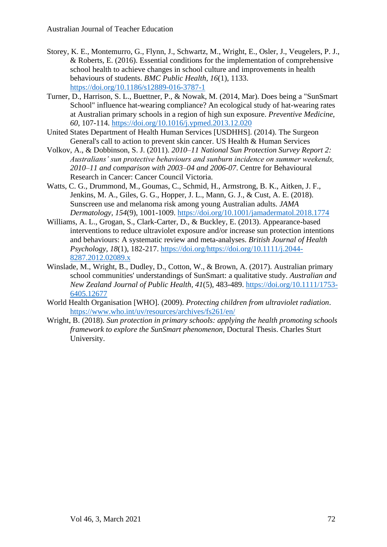- Storey, K. E., Montemurro, G., Flynn, J., Schwartz, M., Wright, E., Osler, J., Veugelers, P. J., & Roberts, E. (2016). Essential conditions for the implementation of comprehensive school health to achieve changes in school culture and improvements in health behaviours of students. *BMC Public Health, 16*(1), 1133. <https://doi.org/10.1186/s12889-016-3787-1>
- Turner, D., Harrison, S. L., Buettner, P., & Nowak, M. (2014, Mar). Does being a "SunSmart School" influence hat-wearing compliance? An ecological study of hat-wearing rates at Australian primary schools in a region of high sun exposure. *Preventive Medicine, 60*, 107-114.<https://doi.org/10.1016/j.ypmed.2013.12.020>
- United States Department of Health Human Services [USDHHS]. (2014). The Surgeon General's call to action to prevent skin cancer. US Health & Human Services
- Volkov, A., & Dobbinson, S. J. (2011). *2010–11 National Sun Protection Survey Report 2: Australians' sun protective behaviours and sunburn incidence on summer weekends, 2010–11 and comparison with 2003–04 and 2006-07*. Centre for Behavioural Research in Cancer: Cancer Council Victoria.
- Watts, C. G., Drummond, M., Goumas, C., Schmid, H., Armstrong, B. K., Aitken, J. F., Jenkins, M. A., Giles, G. G., Hopper, J. L., Mann, G. J., & Cust, A. E. (2018). Sunscreen use and melanoma risk among young Australian adults. *JAMA Dermatology, 154*(9), 1001-1009.<https://doi.org/10.1001/jamadermatol.2018.1774>
- Williams, A. L., Grogan, S., Clark-Carter, D., & Buckley, E. (2013). Appearance-based interventions to reduce ultraviolet exposure and/or increase sun protection intentions and behaviours: A systematic review and meta-analyses. *British Journal of Health Psychology, 18*(1), 182-217. [https://doi.org/https://doi.org/10.1111/j.2044-](https://doi.org/https:/doi.org/10.1111/j.2044-8287.2012.02089.x) [8287.2012.02089.x](https://doi.org/https:/doi.org/10.1111/j.2044-8287.2012.02089.x)
- Winslade, M., Wright, B., Dudley, D., Cotton, W., & Brown, A. (2017). Australian primary school communities' understandings of SunSmart: a qualitative study. *Australian and New Zealand Journal of Public Health, 41*(5), 483-489. [https://doi.org/10.1111/1753-](https://doi.org/10.1111/1753-6405.12677) [6405.12677](https://doi.org/10.1111/1753-6405.12677)
- World Health Organisation [WHO]. (2009). *Protecting children from ultraviolet radiation*. <https://www.who.int/uv/resources/archives/fs261/en/>
- Wright, B. (2018). *Sun protection in primary schools: applying the health promoting schools framework to explore the SunSmart phenomenon,* Doctural Thesis. Charles Sturt University.